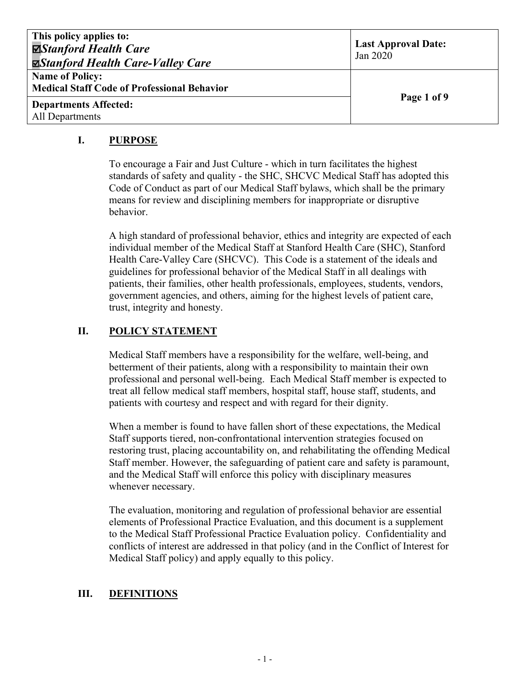| This policy applies to:<br><b>⊠Stanford Health Care</b><br><b><math>\blacktriangleright</math>Stanford Health Care-Valley Care</b> | <b>Last Approval Date:</b><br>Jan 2020 |
|------------------------------------------------------------------------------------------------------------------------------------|----------------------------------------|
| <b>Name of Policy:</b><br><b>Medical Staff Code of Professional Behavior</b>                                                       |                                        |
| <b>Departments Affected:</b><br>All Departments                                                                                    | Page 1 of 9                            |

## **I. PURPOSE**

To encourage a Fair and Just Culture - which in turn facilitates the highest standards of safety and quality - the SHC, SHCVC Medical Staff has adopted this Code of Conduct as part of our Medical Staff bylaws, which shall be the primary means for review and disciplining members for inappropriate or disruptive behavior.

A high standard of professional behavior, ethics and integrity are expected of each individual member of the Medical Staff at Stanford Health Care (SHC), Stanford Health Care-Valley Care (SHCVC). This Code is a statement of the ideals and guidelines for professional behavior of the Medical Staff in all dealings with patients, their families, other health professionals, employees, students, vendors, government agencies, and others, aiming for the highest levels of patient care, trust, integrity and honesty.

# **II. POLICY STATEMENT**

Medical Staff members have a responsibility for the welfare, well-being, and betterment of their patients, along with a responsibility to maintain their own professional and personal well-being. Each Medical Staff member is expected to treat all fellow medical staff members, hospital staff, house staff, students, and patients with courtesy and respect and with regard for their dignity.

When a member is found to have fallen short of these expectations, the Medical Staff supports tiered, non-confrontational intervention strategies focused on restoring trust, placing accountability on, and rehabilitating the offending Medical Staff member. However, the safeguarding of patient care and safety is paramount, and the Medical Staff will enforce this policy with disciplinary measures whenever necessary.

The evaluation, monitoring and regulation of professional behavior are essential elements of Professional Practice Evaluation, and this document is a supplement to the Medical Staff Professional Practice Evaluation policy. Confidentiality and conflicts of interest are addressed in that policy (and in the Conflict of Interest for Medical Staff policy) and apply equally to this policy.

# **III. DEFINITIONS**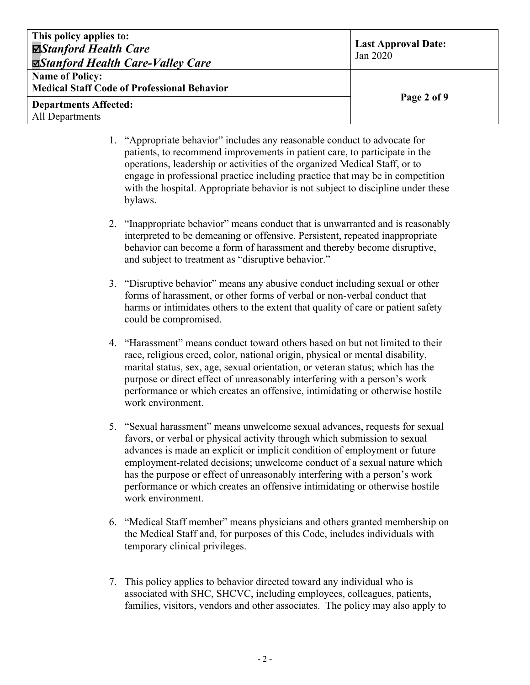| This policy applies to:<br>⊠Stanford Health Care<br><b><math>\Xi</math>Stanford Health Care-Valley Care</b> | <b>Last Approval Date:</b><br>Jan 2020 |
|-------------------------------------------------------------------------------------------------------------|----------------------------------------|
| <b>Name of Policy:</b><br><b>Medical Staff Code of Professional Behavior</b>                                |                                        |
| <b>Departments Affected:</b><br>All Departments                                                             | Page 2 of 9                            |

- 1. "Appropriate behavior" includes any reasonable conduct to advocate for patients, to recommend improvements in patient care, to participate in the operations, leadership or activities of the organized Medical Staff, or to engage in professional practice including practice that may be in competition with the hospital. Appropriate behavior is not subject to discipline under these bylaws.
- 2. "Inappropriate behavior" means conduct that is unwarranted and is reasonably interpreted to be demeaning or offensive. Persistent, repeated inappropriate behavior can become a form of harassment and thereby become disruptive, and subject to treatment as "disruptive behavior."
- 3. "Disruptive behavior" means any abusive conduct including sexual or other forms of harassment, or other forms of verbal or non-verbal conduct that harms or intimidates others to the extent that quality of care or patient safety could be compromised.
- 4. "Harassment" means conduct toward others based on but not limited to their race, religious creed, color, national origin, physical or mental disability, marital status, sex, age, sexual orientation, or veteran status; which has the purpose or direct effect of unreasonably interfering with a person's work performance or which creates an offensive, intimidating or otherwise hostile work environment.
- 5. "Sexual harassment" means unwelcome sexual advances, requests for sexual favors, or verbal or physical activity through which submission to sexual advances is made an explicit or implicit condition of employment or future employment-related decisions; unwelcome conduct of a sexual nature which has the purpose or effect of unreasonably interfering with a person's work performance or which creates an offensive intimidating or otherwise hostile work environment.
- 6. "Medical Staff member" means physicians and others granted membership on the Medical Staff and, for purposes of this Code, includes individuals with temporary clinical privileges.
- 7. This policy applies to behavior directed toward any individual who is associated with SHC, SHCVC, including employees, colleagues, patients, families, visitors, vendors and other associates. The policy may also apply to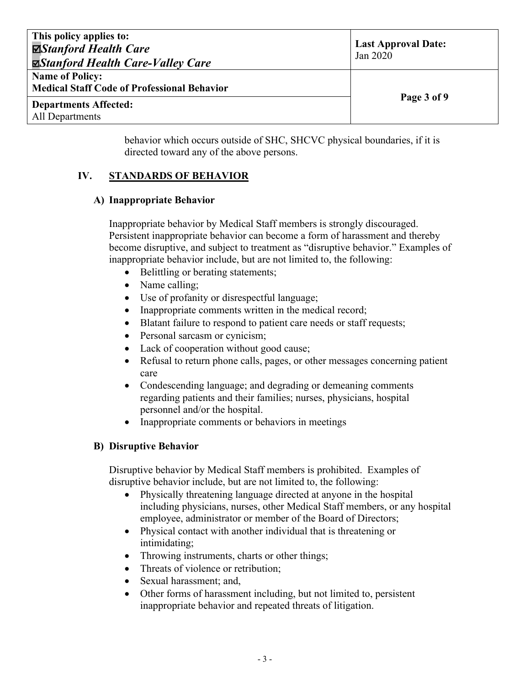| This policy applies to:<br><b>⊠Stanford Health Care</b><br><b><math>\blacktriangleright</math>Stanford Health Care-Valley Care</b> | <b>Last Approval Date:</b><br>Jan 2020 |
|------------------------------------------------------------------------------------------------------------------------------------|----------------------------------------|
| <b>Name of Policy:</b><br><b>Medical Staff Code of Professional Behavior</b>                                                       |                                        |
| <b>Departments Affected:</b><br>All Departments                                                                                    | Page 3 of 9                            |

behavior which occurs outside of SHC, SHCVC physical boundaries, if it is directed toward any of the above persons.

# **IV. STANDARDS OF BEHAVIOR**

## **A) Inappropriate Behavior**

Inappropriate behavior by Medical Staff members is strongly discouraged. Persistent inappropriate behavior can become a form of harassment and thereby become disruptive, and subject to treatment as "disruptive behavior." Examples of inappropriate behavior include, but are not limited to, the following:

- Belittling or berating statements;
- Name calling;
- Use of profanity or disrespectful language;
- Inappropriate comments written in the medical record;
- Blatant failure to respond to patient care needs or staff requests;
- Personal sarcasm or cynicism;
- Lack of cooperation without good cause;
- Refusal to return phone calls, pages, or other messages concerning patient care
- Condescending language; and degrading or demeaning comments regarding patients and their families; nurses, physicians, hospital personnel and/or the hospital.
- Inappropriate comments or behaviors in meetings

## **B) Disruptive Behavior**

Disruptive behavior by Medical Staff members is prohibited. Examples of disruptive behavior include, but are not limited to, the following:

- Physically threatening language directed at anyone in the hospital including physicians, nurses, other Medical Staff members, or any hospital employee, administrator or member of the Board of Directors;
- Physical contact with another individual that is threatening or intimidating;
- Throwing instruments, charts or other things;
- Threats of violence or retribution:
- Sexual harassment; and,
- Other forms of harassment including, but not limited to, persistent inappropriate behavior and repeated threats of litigation.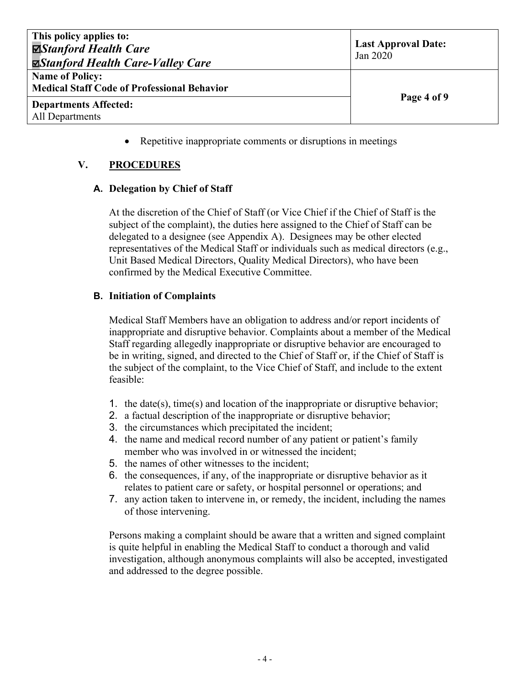| This policy applies to:<br>⊠Stanford Health Care<br><b><math>\blacktriangleright</math>Stanford Health Care-Valley Care</b> | <b>Last Approval Date:</b><br>Jan 2020 |
|-----------------------------------------------------------------------------------------------------------------------------|----------------------------------------|
| <b>Name of Policy:</b><br><b>Medical Staff Code of Professional Behavior</b>                                                |                                        |
| <b>Departments Affected:</b><br>All Departments                                                                             | Page 4 of 9                            |

• Repetitive inappropriate comments or disruptions in meetings

## **V. PROCEDURES**

#### **A. Delegation by Chief of Staff**

At the discretion of the Chief of Staff (or Vice Chief if the Chief of Staff is the subject of the complaint), the duties here assigned to the Chief of Staff can be delegated to a designee (see Appendix A). Designees may be other elected representatives of the Medical Staff or individuals such as medical directors (e.g., Unit Based Medical Directors, Quality Medical Directors), who have been confirmed by the Medical Executive Committee.

#### **B. Initiation of Complaints**

Medical Staff Members have an obligation to address and/or report incidents of inappropriate and disruptive behavior. Complaints about a member of the Medical Staff regarding allegedly inappropriate or disruptive behavior are encouraged to be in writing, signed, and directed to the Chief of Staff or, if the Chief of Staff is the subject of the complaint, to the Vice Chief of Staff, and include to the extent feasible:

- 1. the date(s), time(s) and location of the inappropriate or disruptive behavior;
- 2. a factual description of the inappropriate or disruptive behavior;
- 3. the circumstances which precipitated the incident;
- 4. the name and medical record number of any patient or patient's family member who was involved in or witnessed the incident;
- 5. the names of other witnesses to the incident;
- 6. the consequences, if any, of the inappropriate or disruptive behavior as it relates to patient care or safety, or hospital personnel or operations; and
- 7. any action taken to intervene in, or remedy, the incident, including the names of those intervening.

Persons making a complaint should be aware that a written and signed complaint is quite helpful in enabling the Medical Staff to conduct a thorough and valid investigation, although anonymous complaints will also be accepted, investigated and addressed to the degree possible.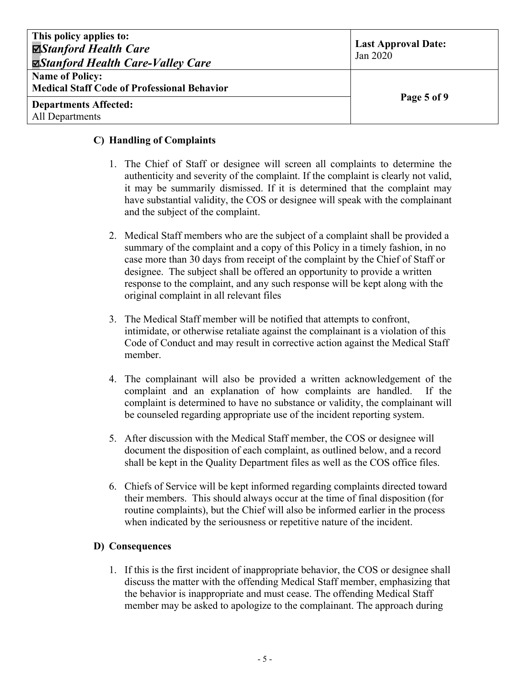| This policy applies to:<br><b>⊠Stanford Health Care</b><br><b><math>\Box</math>Stanford Health Care-Valley Care</b> | <b>Last Approval Date:</b><br>Jan 2020 |
|---------------------------------------------------------------------------------------------------------------------|----------------------------------------|
| <b>Name of Policy:</b><br><b>Medical Staff Code of Professional Behavior</b>                                        |                                        |
| <b>Departments Affected:</b><br>All Departments                                                                     | Page 5 of 9                            |

#### **C) Handling of Complaints**

- 1. The Chief of Staff or designee will screen all complaints to determine the authenticity and severity of the complaint. If the complaint is clearly not valid, it may be summarily dismissed. If it is determined that the complaint may have substantial validity, the COS or designee will speak with the complainant and the subject of the complaint.
- 2. Medical Staff members who are the subject of a complaint shall be provided a summary of the complaint and a copy of this Policy in a timely fashion, in no case more than 30 days from receipt of the complaint by the Chief of Staff or designee. The subject shall be offered an opportunity to provide a written response to the complaint, and any such response will be kept along with the original complaint in all relevant files
- 3. The Medical Staff member will be notified that attempts to confront, intimidate, or otherwise retaliate against the complainant is a violation of this Code of Conduct and may result in corrective action against the Medical Staff member.
- 4. The complainant will also be provided a written acknowledgement of the complaint and an explanation of how complaints are handled. If the complaint is determined to have no substance or validity, the complainant will be counseled regarding appropriate use of the incident reporting system.
- 5. After discussion with the Medical Staff member, the COS or designee will document the disposition of each complaint, as outlined below, and a record shall be kept in the Quality Department files as well as the COS office files.
- 6. Chiefs of Service will be kept informed regarding complaints directed toward their members. This should always occur at the time of final disposition (for routine complaints), but the Chief will also be informed earlier in the process when indicated by the seriousness or repetitive nature of the incident.

## **D) Consequences**

1. If this is the first incident of inappropriate behavior, the COS or designee shall discuss the matter with the offending Medical Staff member, emphasizing that the behavior is inappropriate and must cease. The offending Medical Staff member may be asked to apologize to the complainant. The approach during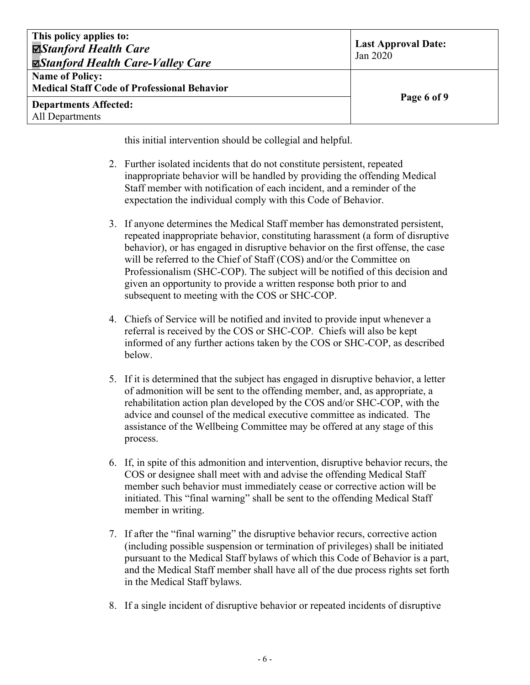| This policy applies to:<br>⊠Stanford Health Care<br><b><math>\Xi</math>Stanford Health Care-Valley Care</b> | <b>Last Approval Date:</b><br>Jan 2020 |
|-------------------------------------------------------------------------------------------------------------|----------------------------------------|
| <b>Name of Policy:</b><br><b>Medical Staff Code of Professional Behavior</b>                                |                                        |
| <b>Departments Affected:</b><br>All Departments                                                             | Page 6 of 9                            |

this initial intervention should be collegial and helpful.

- 2. Further isolated incidents that do not constitute persistent, repeated inappropriate behavior will be handled by providing the offending Medical Staff member with notification of each incident, and a reminder of the expectation the individual comply with this Code of Behavior.
- 3. If anyone determines the Medical Staff member has demonstrated persistent, repeated inappropriate behavior, constituting harassment (a form of disruptive behavior), or has engaged in disruptive behavior on the first offense, the case will be referred to the Chief of Staff (COS) and/or the Committee on Professionalism (SHC-COP). The subject will be notified of this decision and given an opportunity to provide a written response both prior to and subsequent to meeting with the COS or SHC-COP.
- 4. Chiefs of Service will be notified and invited to provide input whenever a referral is received by the COS or SHC-COP. Chiefs will also be kept informed of any further actions taken by the COS or SHC-COP, as described below.
- 5. If it is determined that the subject has engaged in disruptive behavior, a letter of admonition will be sent to the offending member, and, as appropriate, a rehabilitation action plan developed by the COS and/or SHC-COP, with the advice and counsel of the medical executive committee as indicated. The assistance of the Wellbeing Committee may be offered at any stage of this process.
- 6. If, in spite of this admonition and intervention, disruptive behavior recurs, the COS or designee shall meet with and advise the offending Medical Staff member such behavior must immediately cease or corrective action will be initiated. This "final warning" shall be sent to the offending Medical Staff member in writing.
- 7. If after the "final warning" the disruptive behavior recurs, corrective action (including possible suspension or termination of privileges) shall be initiated pursuant to the Medical Staff bylaws of which this Code of Behavior is a part, and the Medical Staff member shall have all of the due process rights set forth in the Medical Staff bylaws.
- 8. If a single incident of disruptive behavior or repeated incidents of disruptive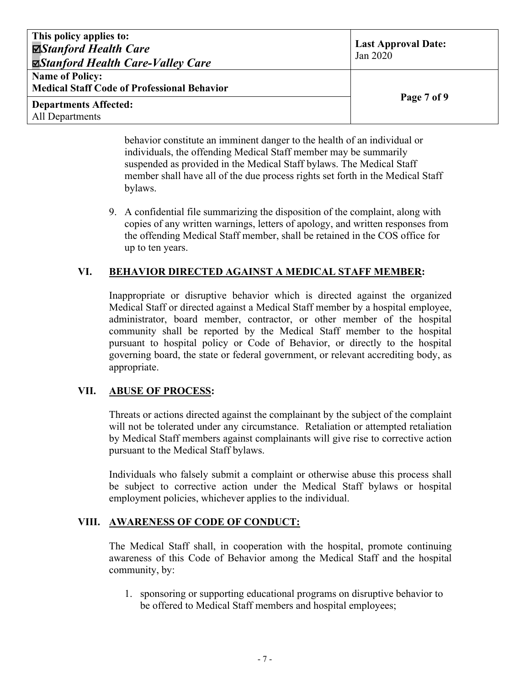| This policy applies to:<br><b>⊠Stanford Health Care</b><br><b><math>\Box</math>Stanford Health Care-Valley Care</b> | <b>Last Approval Date:</b><br>Jan 2020 |
|---------------------------------------------------------------------------------------------------------------------|----------------------------------------|
| <b>Name of Policy:</b><br><b>Medical Staff Code of Professional Behavior</b>                                        |                                        |
| <b>Departments Affected:</b><br>All Departments                                                                     | Page 7 of 9                            |

behavior constitute an imminent danger to the health of an individual or individuals, the offending Medical Staff member may be summarily suspended as provided in the Medical Staff bylaws. The Medical Staff member shall have all of the due process rights set forth in the Medical Staff bylaws.

9. A confidential file summarizing the disposition of the complaint, along with copies of any written warnings, letters of apology, and written responses from the offending Medical Staff member, shall be retained in the COS office for up to ten years.

#### **VI. BEHAVIOR DIRECTED AGAINST A MEDICAL STAFF MEMBER:**

Inappropriate or disruptive behavior which is directed against the organized Medical Staff or directed against a Medical Staff member by a hospital employee, administrator, board member, contractor, or other member of the hospital community shall be reported by the Medical Staff member to the hospital pursuant to hospital policy or Code of Behavior, or directly to the hospital governing board, the state or federal government, or relevant accrediting body, as appropriate.

#### **VII. ABUSE OF PROCESS:**

Threats or actions directed against the complainant by the subject of the complaint will not be tolerated under any circumstance. Retaliation or attempted retaliation by Medical Staff members against complainants will give rise to corrective action pursuant to the Medical Staff bylaws.

Individuals who falsely submit a complaint or otherwise abuse this process shall be subject to corrective action under the Medical Staff bylaws or hospital employment policies, whichever applies to the individual.

#### **VIII. AWARENESS OF CODE OF CONDUCT:**

The Medical Staff shall, in cooperation with the hospital, promote continuing awareness of this Code of Behavior among the Medical Staff and the hospital community, by:

1. sponsoring or supporting educational programs on disruptive behavior to be offered to Medical Staff members and hospital employees;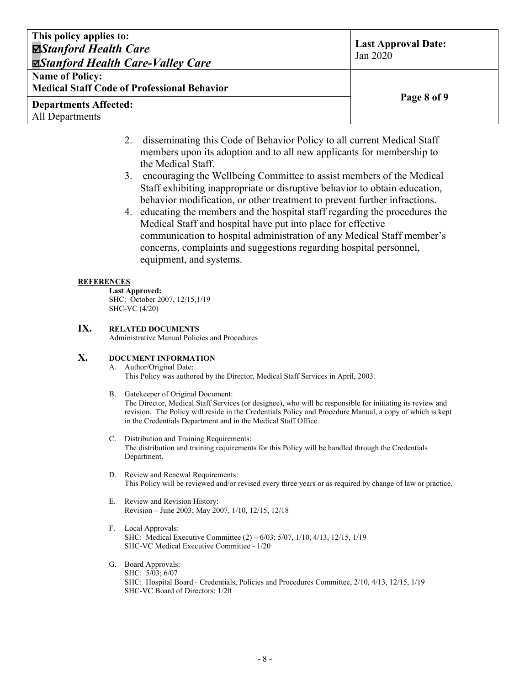| This policy applies to:<br><b>⊠Stanford Health Care</b><br><b><math>\Xi</math>Stanford Health Care-Valley Care</b> | <b>Last Approval Date:</b><br>Jan 2020 |
|--------------------------------------------------------------------------------------------------------------------|----------------------------------------|
| <b>Name of Policy:</b>                                                                                             |                                        |
| <b>Medical Staff Code of Professional Behavior</b>                                                                 |                                        |
| <b>Departments Affected:</b>                                                                                       | Page 8 of 9                            |
| All Departments                                                                                                    |                                        |

- 2. disseminating this Code of Behavior Policy to all current Medical Staff members upon its adoption and to all new applicants for membership to the Medical Staff.
- 3. encouraging the Wellbeing Committee to assist members of the Medical Staff exhibiting inappropriate or disruptive behavior to obtain education, behavior modification, or other treatment to prevent further infractions.
- 4. educating the members and the hospital staff regarding the procedures the Medical Staff and hospital have put into place for effective communication to hospital administration of any Medical Staff member's concerns, complaints and suggestions regarding hospital personnel, equipment, and systems.

#### **REFERENCES**

**Last Approved:** SHC: October 2007, 12/15,1/19 SHC-VC (4/20)

#### **IX. RELATED DOCUMENTS**

Administrative Manual Policies and Procedures

#### **X. DOCUMENT INFORMATION**

#### A. Author/Original Date: This Policy was authored by the Director, Medical Staff Services in April, 2003.

- B. Gatekeeper of Original Document: The Director, Medical Staff Services (or designee), who will be responsible for initiating its review and revision. The Policy will reside in the Credentials Policy and Procedure Manual, a copy of which is kept in the Credentials Department and in the Medical Staff Office.
- C. Distribution and Training Requirements: The distribution and training requirements for this Policy will be handled through the Credentials Department.
- D. Review and Renewal Requirements: This Policy will be reviewed and/or revised every three years or as required by change of law or practice.
- E. Review and Revision History: Revision – June 2003; May 2007, 1/10, 12/15, 12/18
- F. Local Approvals: SHC: Medical Executive Committee (2) – 6/03; 5/07, 1/10, 4/13, 12/15, 1/19 SHC-VC Medical Executive Committee - 1/20
- G. Board Approvals: SHC: 5/03; 6/07 SHC: Hospital Board - Credentials, Policies and Procedures Committee, 2/10, 4/13, 12/15, 1/19 SHC-VC Board of Directors: 1/20